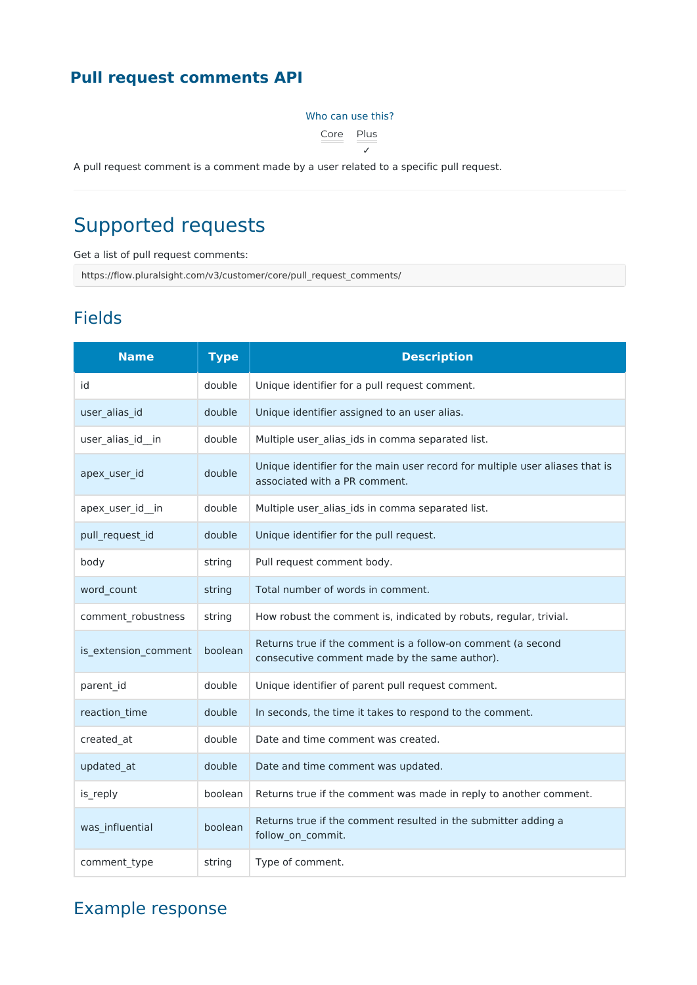## **Pull request comments API**

#### Who can use this?

Core Plus

✓

A pull request comment is a comment made by a user related to a specific pull request.

# Supported requests

Get a list of pull request comments:

https://flow.pluralsight.com/v3/customer/core/pull\_request\_comments/

### Fields

| <b>Name</b>          | <b>Type</b> | <b>Description</b>                                                                                            |
|----------------------|-------------|---------------------------------------------------------------------------------------------------------------|
| id                   | double      | Unique identifier for a pull request comment.                                                                 |
| user_alias_id        | double      | Unique identifier assigned to an user alias.                                                                  |
| user_alias_id_in     | double      | Multiple user_alias_ids in comma separated list.                                                              |
| apex_user_id         | double      | Unique identifier for the main user record for multiple user aliases that is<br>associated with a PR comment. |
| apex_user_id_in      | double      | Multiple user_alias_ids in comma separated list.                                                              |
| pull_request_id      | double      | Unique identifier for the pull request.                                                                       |
| body                 | string      | Pull request comment body.                                                                                    |
| word_count           | string      | Total number of words in comment.                                                                             |
| comment_robustness   | string      | How robust the comment is, indicated by robuts, regular, trivial.                                             |
| is_extension_comment | boolean     | Returns true if the comment is a follow-on comment (a second<br>consecutive comment made by the same author). |
| parent id            | double      | Unique identifier of parent pull request comment.                                                             |
| reaction_time        | double      | In seconds, the time it takes to respond to the comment.                                                      |
| created_at           | double      | Date and time comment was created.                                                                            |
| updated_at           | double      | Date and time comment was updated.                                                                            |
| is_reply             | boolean     | Returns true if the comment was made in reply to another comment.                                             |
| was_influential      | boolean     | Returns true if the comment resulted in the submitter adding a<br>follow_on_commit.                           |
| comment type         | string      | Type of comment.                                                                                              |

# Example response